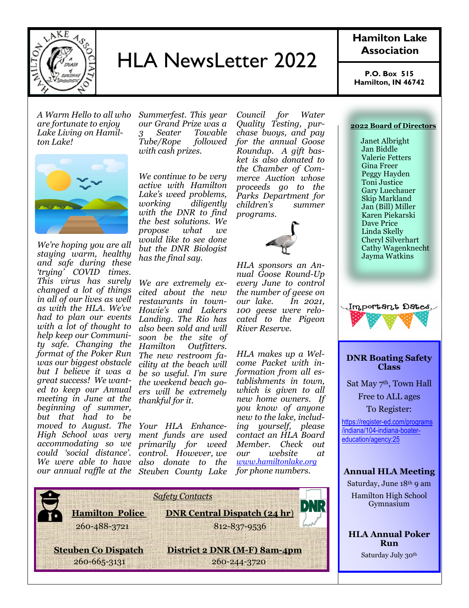

# HLA NewsLetter 2022

*A Warm Hello to all who are fortunate to enjoy Lake Living on Hamilton Lake!*



*We're hoping you are all staying warm, healthy and safe during these 'trying' COVID times. This virus has surely changed a lot of things in all of our lives as well as with the HLA. We've had to plan our events with a lot of thought to help keep our Community safe. Changing the format of the Poker Run was our biggest obstacle but I believe it was a great success! We wanted to keep our Annual meeting in June at the beginning of summer, but that had to be moved to August. The Your HLA Enhance-High School was very accommodating so we could 'social distance'. We were able to have also donate to the* 

*Summerfest. This year our Grand Prize was a 3 Seater Towable Tube/Rope with cash prizes.*

*We continue to be very active with Hamilton Lake's weed problems, working diligently with the DNR to find the best solutions. We propose what we would like to see done but the DNR Biologist has the final say.*

*We are extremely excited about the new restaurants in town-Howie's and Lakers Landing. The Rio has also been sold and will soon be the site of Hamilton Outfitters. The new restroom facility at the beach will be so useful. I'm sure the weekend beach goers will be extremely thankful for it.*

*our annual raffle at the Steuben County Lake ment funds are used primarily for weed control. However, we* 

*Council for Water Quality Testing, purchase buoys, and pay for the annual Goose Roundup. A gift basket is also donated to the Chamber of Commerce Auction whose proceeds go to the Parks Department for children's summer programs.*



*HLA sponsors an Annual Goose Round-Up every June to control the number of geese on our lake. In 2021, 100 geese were relocated to the Pigeon River Reserve.*

*HLA makes up a Welcome Packet with information from all establishments in town, which is given to all new home owners. If you know of anyone new to the lake, including yourself, please contact an HLA Board Member. Check out our website at [www.hamiltonlake.org](http://www.hamiltonlake.org) for phone numbers.*



### **Hamilton Lake Association**

**P.O. Box 515 Hamilton, IN 46742**

#### **2022 Board of Directors**

 Janet Albright Jan Biddle Valerie Fetters Gina Freer Peggy Hayden Toni Justice Gary Luechauer Skip Markland Jan (Bill) Miller Karen Piekarski Dave Price Linda Skelly Cheryl Silverhart Cathy Wagenknecht Jayma Watkins



#### **DNR Boating Safety Class**

Sat May 7<sup>th</sup>, Town Hall Free to ALL ages To Register:

[https://register-ed.com/programs](https://register-ed.com/programs/indiana/104-indiana-boater-education/agency:25?fbclid=IwAR1Syfy3jlKQnH8CSmGNxtnNHL-JXT2xREMcmioc4HPhZq9iHca_jbK-45I) [/indiana/104-indiana-boater](https://register-ed.com/programs/indiana/104-indiana-boater-education/agency:25?fbclid=IwAR1Syfy3jlKQnH8CSmGNxtnNHL-JXT2xREMcmioc4HPhZq9iHca_jbK-45I)[education/agency:25](https://register-ed.com/programs/indiana/104-indiana-boater-education/agency:25?fbclid=IwAR1Syfy3jlKQnH8CSmGNxtnNHL-JXT2xREMcmioc4HPhZq9iHca_jbK-45I)

#### **Annual HLA Meeting**

Saturday, June 18th 9 am Hamilton High School Gymnasium

**HLA Annual Poker Run** Saturday July 30th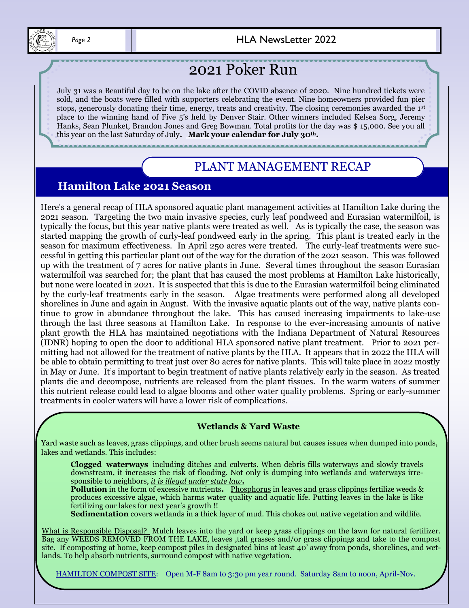

 *Page 2* HLA NewsLetter 2022

# 2021 Poker Run

July 31 was a Beautiful day to be on the lake after the COVID absence of 2020. Nine hundred tickets were sold, and the boats were filled with supporters celebrating the event. Nine homeowners provided fun pier stops, generously donating their time, energy, treats and creativity. The closing ceremonies awarded the 1st place to the winning hand of Five 5's held by Denver Stair. Other winners included Kelsea Sorg, Jeremy Hanks, Sean Plunket, Brandon Jones and Greg Bowman. Total profits for the day was \$ 15,000. See you all this year on the last Saturday of July**. Mark your calendar for July 30th.**

### PLANT MANAGEMENT RECAP

### **Hamilton Lake 2021 Season**

 tinue to grow in abundance throughout the lake. This has caused increasing impairments to lake-use Here's a general recap of HLA sponsored aquatic plant management activities at Hamilton Lake during the 2021 season. Targeting the two main invasive species, curly leaf pondweed and Eurasian watermilfoil, is typically the focus, but this year native plants were treated as well. As is typically the case, the season was started mapping the growth of curly-leaf pondweed early in the spring. This plant is treated early in the season for maximum effectiveness. In April 250 acres were treated. The curly-leaf treatments were successful in getting this particular plant out of the way for the duration of the 2021 season. This was followed up with the treatment of 7 acres for native plants in June. Several times throughout the season Eurasian watermilfoil was searched for; the plant that has caused the most problems at Hamilton Lake historically, but none were located in 2021. It is suspected that this is due to the Eurasian watermilfoil being eliminated by the curly-leaf treatments early in the season. Algae treatments were performed along all developed shorelines in June and again in August. With the invasive aquatic plants out of the way, native plants conthrough the last three seasons at Hamilton Lake. In response to the ever-increasing amounts of native plant growth the HLA has maintained negotiations with the Indiana Department of Natural Resources (IDNR) hoping to open the door to additional HLA sponsored native plant treatment. Prior to 2021 permitting had not allowed for the treatment of native plants by the HLA. It appears that in 2022 the HLA will be able to obtain permitting to treat just over 80 acres for native plants. This will take place in 2022 mostly in May or June. It's important to begin treatment of native plants relatively early in the season. As treated plants die and decompose, nutrients are released from the plant tissues. In the warm waters of summer this nutrient release could lead to algae blooms and other water quality problems. Spring or early-summer treatments in cooler waters will have a lower risk of complications.

### **Wetlands & Yard Waste**

Yard waste such as leaves, grass clippings, and other brush seems natural but causes issues when dumped into ponds, lakes and wetlands. This includes:

**Clogged waterways** including ditches and culverts. When debris fills waterways and slowly travels downstream, it increases the risk of flooding. Not only is dumping into wetlands and waterways irresponsible to neighbors, *it is illegal under state law***.**

**Pollution** in the form of excessive nutrients**.** Phosphorus in leaves and grass clippings fertilize weeds & produces excessive algae, which harms water quality and aquatic life. Putting leaves in the lake is like fertilizing our lakes for next year's growth !!

**Sedimentation** covers wetlands in a thick layer of mud. This chokes out native vegetation and wildlife.

What is Responsible Disposal? Mulch leaves into the yard or keep grass clippings on the lawn for natural fertilizer. Bag any WEEDS REMOVED FROM THE LAKE, leaves ,tall grasses and/or grass clippings and take to the compost site. If composting at home, keep compost piles in designated bins at least  $40^{\circ}$  away from ponds, shorelines, and wetlands. To help absorb nutrients, surround compost with native vegetation.

HAMILTON COMPOST SITE: Open M-F 8am to 3:3o pm year round. Saturday 8am to noon, April-Nov.